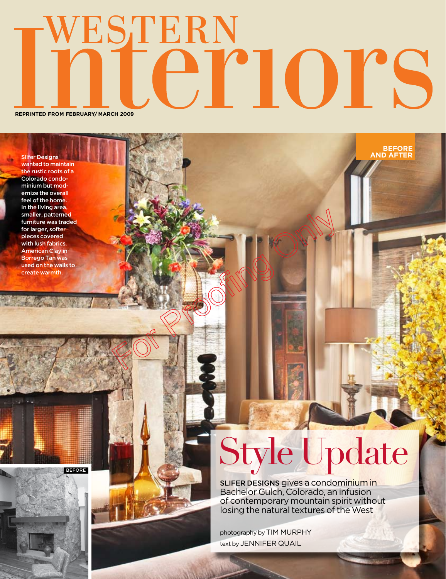## WESTERN ernors

**REPRINTED FROM february/ march 2009**

before

Slifer Designs wanted to maintain the rustic roots of a Colorado condominium but modernize the overall feel of the home. In the living area, smaller, patterned furniture was traded for larger, softer pieces covered with lush fabrics. American Clay in Borrego Tan was used on the walls to create warmth.

## Style Update

**and after before**

Slifer Designs gives a condominium in Bachelor Gulch, Colorado, an infusion of contemporary mountain spirit without losing the natural textures of the West

photography by TIM MURPHY text by JENNIFER QUAIL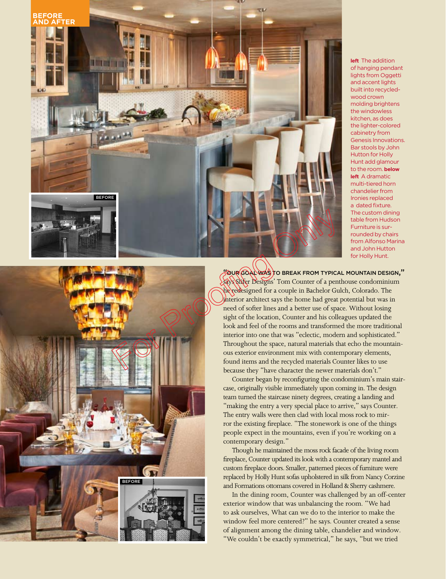

**left** The addition of hanging pendant lights from Oggetti and accent lights built into recycledwood crown molding brightens the windowless kitchen, as does the lighter-colored cabinetry from Genesis Innovations. Bar stools by John Hutton for Holly Hunt add glamour to the room. **below left** A dramatic multi-tiered horn chandelier from Ironies replaced a dated fixture. The custom dining table from Hudson Furniture is surrounded by chairs from Alfonso Marina and John Hutton for Holly Hunt.



"our goalwas to break from typical mountain design," says Slifer Designs' Tom Counter of a penthouse condominium he redesigned for a couple in Bachelor Gulch, Colorado. The interior architect says the home had great potential but was in need of softer lines and a better use of space. Without losing sight of the location, Counter and his colleagues updated the look and feel of the rooms and transformed the more traditional interior into one that was "eclectic, modern and sophisticated." Throughout the space, natural materials that echo the mountainous exterior environment mix with contemporary elements, found items and the recycled materials Counter likes to use because they "have character the newer materials don't."

Counter began by reconfiguring the condominium's main staircase, originally visible immediately upon coming in. The design team turned the staircase ninety degrees, creating a landing and "making the entry a very special place to arrive," says Counter. The entry walls were then clad with local moss rock to mirror the existing fireplace. "The stonework is one of the things people expect in the mountains, even if you're working on a contemporary design."

Though he maintained the moss rock facade of the living room fireplace, Counter updated its look with a contemporary mantel and custom fireplace doors. Smaller, patterned pieces of furniture were replaced by Holly Hunt sofas upholstered in silk from Nancy Corzine and Formations ottomans covered in Holland & Sherry cashmere.

In the dining room, Counter was challenged by an off-center exterior window that was unbalancing the room. "We had to ask ourselves, What can we do to the interior to make the window feel more centered?" he says. Counter created a sense of alignment among the dining table, chandelier and window. "We couldn't be exactly symmetrical," he says, "but we tried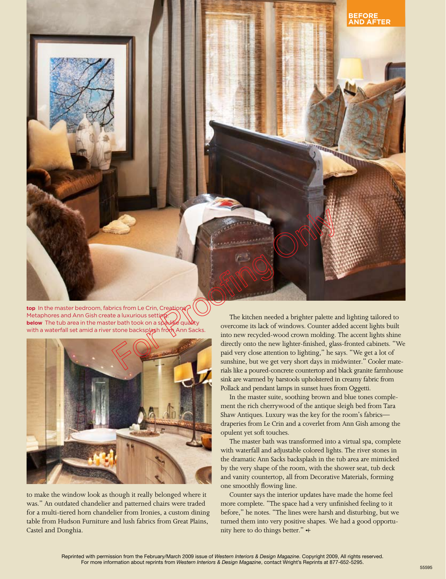

top In the master bedroom, fabrics from Le Crin, Creation Metaphores and Ann Gish create a luxurious setting **below** The tub area in the master bath took on a spaxike quality with a waterfall set amid a river stone backsplash from Ann Sacks



to make the window look as though it really belonged where it was." An outdated chandelier and patterned chairs were traded for a multi-tiered horn chandelier from Ironies, a custom dining table from Hudson Furniture and lush fabrics from Great Plains, Castel and Donghia.

The kitchen needed a brighter palette and lighting tailored to overcome its lack of windows. Counter added accent lights built into new recycled-wood crown molding. The accent lights shine directly onto the new lighter-finished, glass-fronted cabinets. "We paid very close attention to lighting," he says. "We get a lot of sunshine, but we get very short days in midwinter." Cooler materials like a poured-concrete countertop and black granite farmhouse sink are warmed by barstools upholstered in creamy fabric from Pollack and pendant lamps in sunset hues from Oggetti.

In the master suite, soothing brown and blue tones complement the rich cherrywood of the antique sleigh bed from Tara Shaw Antiques. Luxury was the key for the room's fabrics draperies from Le Crin and a coverlet from Ann Gish among the opulent yet soft touches.

The master bath was transformed into a virtual spa, complete with waterfall and adjustable colored lights. The river stones in the dramatic Ann Sacks backsplash in the tub area are mimicked by the very shape of the room, with the shower seat, tub deck and vanity countertop, all from Decorative Materials, forming one smoothly flowing line.

Counter says the interior updates have made the home feel more complete. "The space had a very unfinished feeling to it before," he notes. "The lines were harsh and disturbing, but we turned them into very positive shapes. We had a good opportunity here to do things better."  $+$